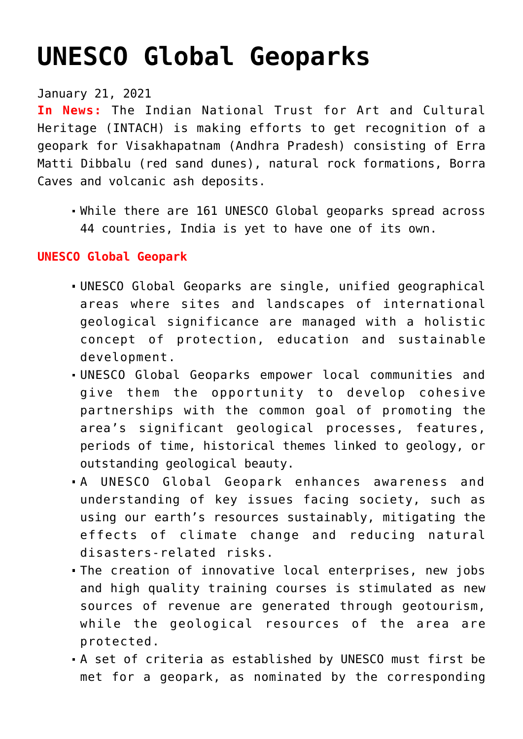# **[UNESCO Global Geoparks](https://journalsofindia.com/unesco-global-geoparks/)**

## January 21, 2021

**In News:** The Indian National Trust for Art and Cultural Heritage (INTACH) is making efforts to get recognition of a geopark for Visakhapatnam (Andhra Pradesh) consisting of Erra Matti Dibbalu (red sand dunes), natural rock formations, Borra Caves and volcanic ash deposits.

While there are 161 UNESCO Global geoparks spread across 44 countries, India is yet to have one of its own.

#### **UNESCO Global Geopark**

- UNESCO Global Geoparks are single, unified geographical areas where sites and landscapes of international geological significance are managed with a holistic concept of protection, education and sustainable development.
- UNESCO Global Geoparks empower local communities and give them the opportunity to develop cohesive partnerships with the common goal of promoting the area's significant geological processes, features, periods of time, historical themes linked to geology, or outstanding geological beauty.
- A UNESCO Global Geopark enhances awareness and understanding of key issues facing society, such as using our earth's resources sustainably, mitigating the effects of climate change and reducing natural disasters-related risks.
- The creation of innovative local enterprises, new jobs and high quality training courses is stimulated as new sources of revenue are generated through geotourism, while the geological resources of the area are protected.
- A set of criteria as established by UNESCO must first be met for a geopark, as nominated by the corresponding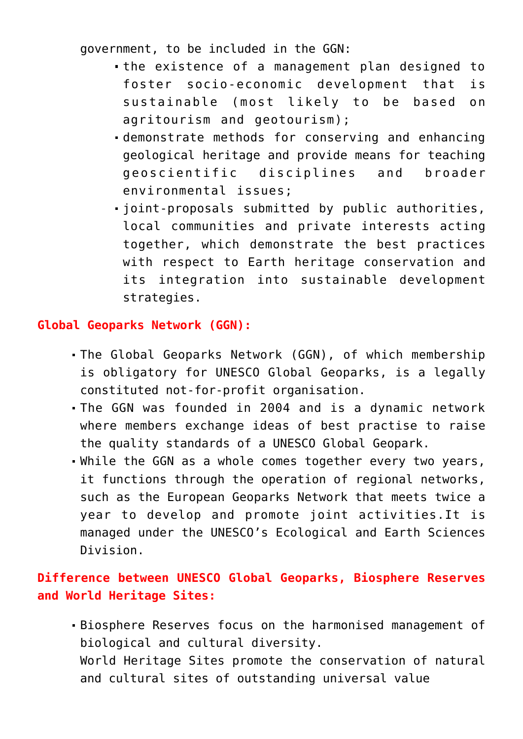government, to be included in the GGN:

- the existence of a management plan designed to foster socio-economic development that is sustainable (most likely to be based on agritourism and geotourism);
- demonstrate methods for conserving and enhancing geological heritage and provide means for teaching geoscientific disciplines and broader environmental issues;
- joint-proposals submitted by public authorities, local communities and private interests acting together, which demonstrate the best practices with respect to Earth heritage conservation and its integration into sustainable development strategies.

### **Global Geoparks Network (GGN):**

- The Global Geoparks Network (GGN), of which membership is obligatory for UNESCO Global Geoparks, is a legally constituted not-for-profit organisation.
- The GGN was founded in 2004 and is a dynamic network where members exchange ideas of best practise to raise the quality standards of a UNESCO Global Geopark.
- While the GGN as a whole comes together every two years, it functions through the operation of regional networks, such as the European Geoparks Network that meets twice a year to develop and promote joint activities.It is managed under the UNESCO's Ecological and Earth Sciences Division.

## **Difference between UNESCO Global Geoparks, Biosphere Reserves and World Heritage Sites:**

Biosphere Reserves focus on the harmonised management of biological and cultural diversity. World Heritage Sites promote the conservation of natural and cultural sites of outstanding universal value